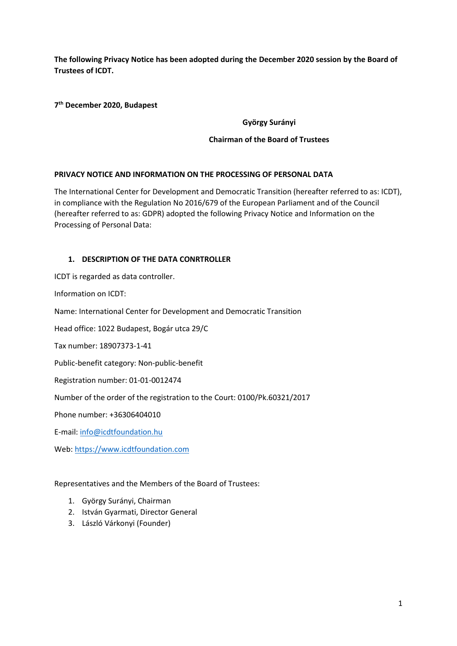**The following Privacy Notice has been adopted during the December 2020 session by the Board of Trustees of ICDT.**

**7 th December 2020, Budapest**

# **György Surányi**

# **Chairman of the Board of Trustees**

### **PRIVACY NOTICE AND INFORMATION ON THE PROCESSING OF PERSONAL DATA**

The International Center for Development and Democratic Transition (hereafter referred to as: ICDT), in compliance with the Regulation No 2016/679 of the European Parliament and of the Council (hereafter referred to as: GDPR) adopted the following Privacy Notice and Information on the Processing of Personal Data:

# **1. DESCRIPTION OF THE DATA CONRTROLLER**

ICDT is regarded as data controller.

Information on ICDT:

Name: International Center for Development and Democratic Transition

Head office: 1022 Budapest, Bogár utca 29/C

Tax number: 18907373-1-41

Public-benefit category: Non-public-benefit

Registration number: 01-01-0012474

Number of the order of the registration to the Court: 0100/Pk.60321/2017

Phone number: +36306404010

E-mail: [info@icdtfoundation.hu](mailto:info@icdtfoundation.hu)

Web: [https://www.icdtfoundation.com](https://www.icdtfoundation.com/)

Representatives and the Members of the Board of Trustees:

- 1. György Surányi, Chairman
- 2. István Gyarmati, Director General
- 3. László Várkonyi (Founder)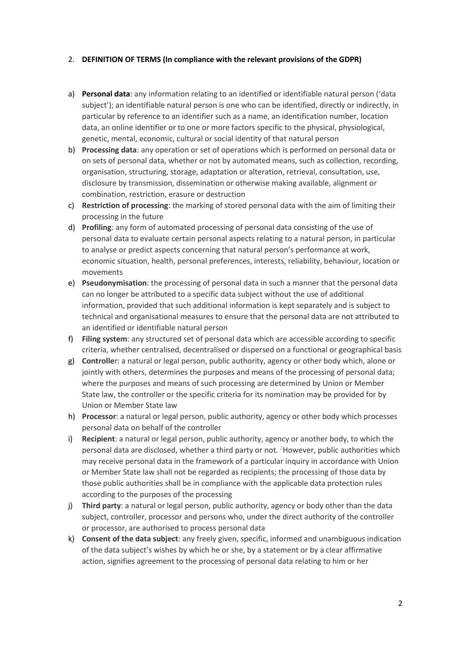#### 2. **DEFINITION OF TERMS (In compliance with the relevant provisions of the GDPR)**

- a) **Personal data**: any information relating to an identified or identifiable natural person ('data subject'); an identifiable natural person is one who can be identified, directly or indirectly, in particular by reference to an identifier such as a name, an identification number, location data, an online identifier or to one or more factors specific to the physical, physiological, genetic, mental, economic, cultural or social identity of that natural person
- b) **Processing data**: any operation or set of operations which is performed on personal data or on sets of personal data, whether or not by automated means, such as collection, recording, organisation, structuring, storage, adaptation or alteration, retrieval, consultation, use, disclosure by transmission, dissemination or otherwise making available, alignment or combination, restriction, erasure or destruction
- c) **Restriction of processing**: the marking of stored personal data with the aim of limiting their processing in the future
- d) **Profiling**: any form of automated processing of personal data consisting of the use of personal data to evaluate certain personal aspects relating to a natural person, in particular to analyse or predict aspects concerning that natural person's performance at work, economic situation, health, personal preferences, interests, reliability, behaviour, location or movements
- e) **Pseudonymisation**: the processing of personal data in such a manner that the personal data can no longer be attributed to a specific data subject without the use of additional information, provided that such additional information is kept separately and is subject to technical and organisational measures to ensure that the personal data are not attributed to an identified or identifiable natural person
- f) **Filing system**: any structured set of personal data which are accessible according to specific criteria, whether centralised, decentralised or dispersed on a functional or geographical basis
- g) **Controlle**r: a natural or legal person, public authority, agency or other body which, alone or jointly with others, determines the purposes and means of the processing of personal data; where the purposes and means of such processing are determined by Union or Member State law, the controller or the specific criteria for its nomination may be provided for by Union or Member State law
- h) **Processor**: a natural or legal person, public authority, agency or other body which processes personal data on behalf of the controller
- i) **Recipient**: a natural or legal person, public authority, agency or another body, to which the personal data are disclosed, whether a third party or not. <sup>2</sup>However, public authorities which may receive personal data in the framework of a particular inquiry in accordance with Union or Member State law shall not be regarded as recipients; the processing of those data by those public authorities shall be in compliance with the applicable data protection rules according to the purposes of the processing
- j) **Third party**: a natural or legal person, public authority, agency or body other than the data subject, controller, processor and persons who, under the direct authority of the controller or processor, are authorised to process personal data
- k) **Consent of the data subject**: any freely given, specific, informed and unambiguous indication of the data subject's wishes by which he or she, by a statement or by a clear affirmative action, signifies agreement to the processing of personal data relating to him or her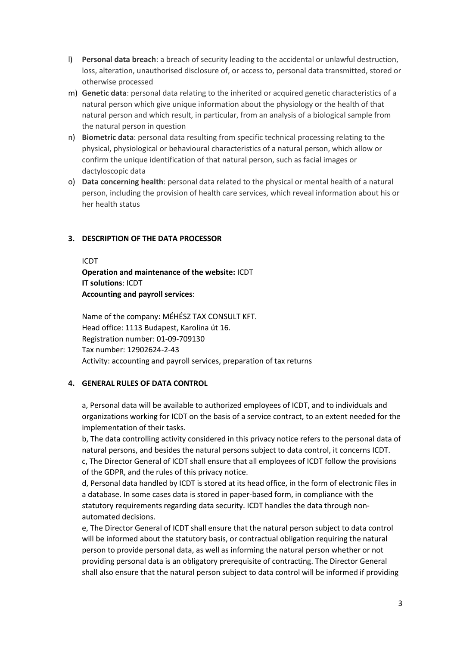- l) **Personal data breach**: a breach of security leading to the accidental or unlawful destruction, loss, alteration, unauthorised disclosure of, or access to, personal data transmitted, stored or otherwise processed
- m) **Genetic data**: personal data relating to the inherited or acquired genetic characteristics of a natural person which give unique information about the physiology or the health of that natural person and which result, in particular, from an analysis of a biological sample from the natural person in question
- n) **Biometric data**: personal data resulting from specific technical processing relating to the physical, physiological or behavioural characteristics of a natural person, which allow or confirm the unique identification of that natural person, such as facial images or dactyloscopic data
- o) **Data concerning health**: personal data related to the physical or mental health of a natural person, including the provision of health care services, which reveal information about his or her health status

#### **3. DESCRIPTION OF THE DATA PROCESSOR**

#### ICDT

**Operation and maintenance of the website:** ICDT **IT solutions**: ICDT **Accounting and payroll services**:

Name of the company: MÉHÉSZ TAX CONSULT KFT. Head office: 1113 Budapest, Karolina út 16. Registration number: 01-09-709130 Tax number: 12902624-2-43 Activity: accounting and payroll services, preparation of tax returns

#### **4. GENERAL RULES OF DATA CONTROL**

a, Personal data will be available to authorized employees of ICDT, and to individuals and organizations working for ICDT on the basis of a service contract, to an extent needed for the implementation of their tasks.

b, The data controlling activity considered in this privacy notice refers to the personal data of natural persons, and besides the natural persons subject to data control, it concerns ICDT. c, The Director General of ICDT shall ensure that all employees of ICDT follow the provisions of the GDPR, and the rules of this privacy notice.

d, Personal data handled by ICDT is stored at its head office, in the form of electronic files in a database. In some cases data is stored in paper-based form, in compliance with the statutory requirements regarding data security. ICDT handles the data through nonautomated decisions.

e, The Director General of ICDT shall ensure that the natural person subject to data control will be informed about the statutory basis, or contractual obligation requiring the natural person to provide personal data, as well as informing the natural person whether or not providing personal data is an obligatory prerequisite of contracting. The Director General shall also ensure that the natural person subject to data control will be informed if providing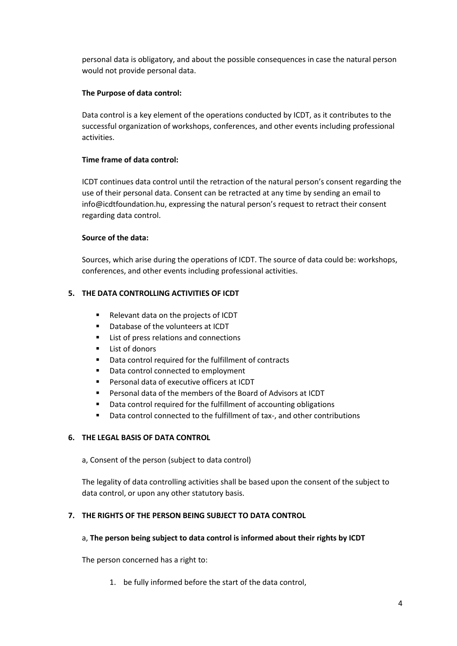personal data is obligatory, and about the possible consequences in case the natural person would not provide personal data.

# **The Purpose of data control:**

Data control is a key element of the operations conducted by ICDT, as it contributes to the successful organization of workshops, conferences, and other events including professional activities.

# **Time frame of data control:**

ICDT continues data control until the retraction of the natural person's consent regarding the use of their personal data. Consent can be retracted at any time by sending an email to info@icdtfoundation.hu, expressing the natural person's request to retract their consent regarding data control.

### **Source of the data:**

Sources, which arise during the operations of ICDT. The source of data could be: workshops, conferences, and other events including professional activities.

# **5. THE DATA CONTROLLING ACTIVITIES OF ICDT**

- Relevant data on the projects of ICDT
- Database of the volunteers at ICDT
- List of press relations and connections
- List of donors
- Data control required for the fulfillment of contracts
- Data control connected to employment
- Personal data of executive officers at ICDT
- Personal data of the members of the Board of Advisors at ICDT
- Data control required for the fulfillment of accounting obligations
- Data control connected to the fulfillment of tax-, and other contributions

### **6. THE LEGAL BASIS OF DATA CONTROL**

a, Consent of the person (subject to data control)

The legality of data controlling activities shall be based upon the consent of the subject to data control, or upon any other statutory basis.

### **7. THE RIGHTS OF THE PERSON BEING SUBJECT TO DATA CONTROL**

### a, **The person being subject to data control is informed about their rights by ICDT**

The person concerned has a right to:

1. be fully informed before the start of the data control,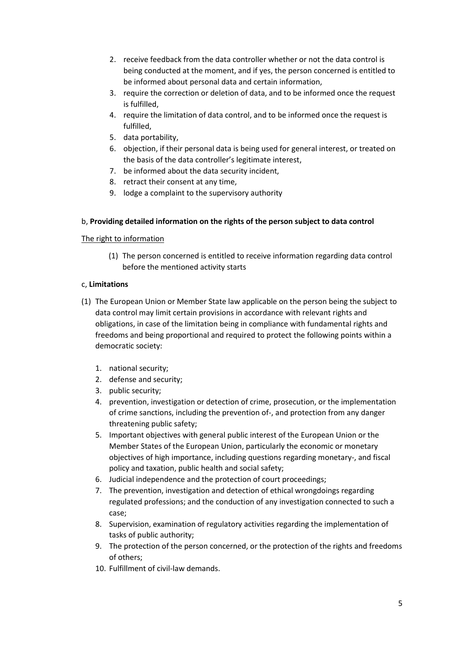- 2. receive feedback from the data controller whether or not the data control is being conducted at the moment, and if yes, the person concerned is entitled to be informed about personal data and certain information,
- 3. require the correction or deletion of data, and to be informed once the request is fulfilled,
- 4. require the limitation of data control, and to be informed once the request is fulfilled,
- 5. data portability,
- 6. objection, if their personal data is being used for general interest, or treated on the basis of the data controller's legitimate interest,
- 7. be informed about the data security incident,
- 8. retract their consent at any time,
- 9. lodge a complaint to the supervisory authority

### b, **Providing detailed information on the rights of the person subject to data control**

#### The right to information

(1) The person concerned is entitled to receive information regarding data control before the mentioned activity starts

### c, **Limitations**

- (1) The European Union or Member State law applicable on the person being the subject to data control may limit certain provisions in accordance with relevant rights and obligations, in case of the limitation being in compliance with fundamental rights and freedoms and being proportional and required to protect the following points within a democratic society:
	- 1. national security;
	- 2. defense and security;
	- 3. public security;
	- 4. prevention, investigation or detection of crime, prosecution, or the implementation of crime sanctions, including the prevention of-, and protection from any danger threatening public safety;
	- 5. Important objectives with general public interest of the European Union or the Member States of the European Union, particularly the economic or monetary objectives of high importance, including questions regarding monetary-, and fiscal policy and taxation, public health and social safety;
	- 6. Judicial independence and the protection of court proceedings;
	- 7. The prevention, investigation and detection of ethical wrongdoings regarding regulated professions; and the conduction of any investigation connected to such a case;
	- 8. Supervision, examination of regulatory activities regarding the implementation of tasks of public authority;
	- 9. The protection of the person concerned, or the protection of the rights and freedoms of others;
	- 10. Fulfillment of civil-law demands.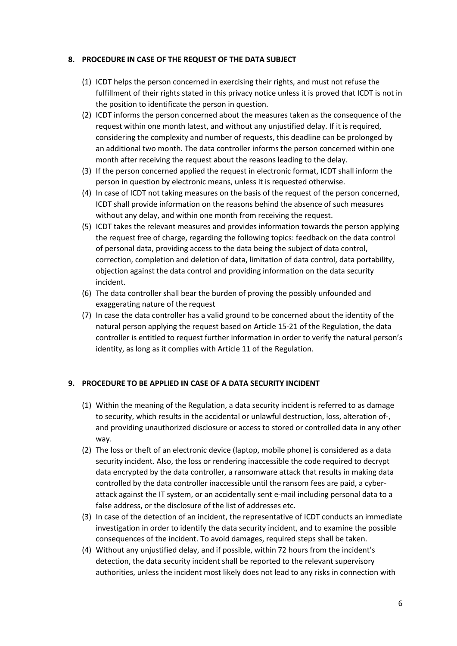#### **8. PROCEDURE IN CASE OF THE REQUEST OF THE DATA SUBJECT**

- (1) ICDT helps the person concerned in exercising their rights, and must not refuse the fulfillment of their rights stated in this privacy notice unless it is proved that ICDT is not in the position to identificate the person in question.
- (2) ICDT informs the person concerned about the measures taken as the consequence of the request within one month latest, and without any unjustified delay. If it is required, considering the complexity and number of requests, this deadline can be prolonged by an additional two month. The data controller informs the person concerned within one month after receiving the request about the reasons leading to the delay.
- (3) If the person concerned applied the request in electronic format, ICDT shall inform the person in question by electronic means, unless it is requested otherwise.
- (4) In case of ICDT not taking measures on the basis of the request of the person concerned, ICDT shall provide information on the reasons behind the absence of such measures without any delay, and within one month from receiving the request.
- (5) ICDT takes the relevant measures and provides information towards the person applying the request free of charge, regarding the following topics: feedback on the data control of personal data, providing access to the data being the subject of data control, correction, completion and deletion of data, limitation of data control, data portability, objection against the data control and providing information on the data security incident.
- (6) The data controller shall bear the burden of proving the possibly unfounded and exaggerating nature of the request
- (7) In case the data controller has a valid ground to be concerned about the identity of the natural person applying the request based on Article 15-21 of the Regulation, the data controller is entitled to request further information in order to verify the natural person's identity, as long as it complies with Article 11 of the Regulation.

#### **9. PROCEDURE TO BE APPLIED IN CASE OF A DATA SECURITY INCIDENT**

- (1) Within the meaning of the Regulation, a data security incident is referred to as damage to security, which results in the accidental or unlawful destruction, loss, alteration of-, and providing unauthorized disclosure or access to stored or controlled data in any other way.
- (2) The loss or theft of an electronic device (laptop, mobile phone) is considered as a data security incident. Also, the loss or rendering inaccessible the code required to decrypt data encrypted by the data controller, a ransomware attack that results in making data controlled by the data controller inaccessible until the ransom fees are paid, a cyberattack against the IT system, or an accidentally sent e-mail including personal data to a false address, or the disclosure of the list of addresses etc.
- (3) In case of the detection of an incident, the representative of ICDT conducts an immediate investigation in order to identify the data security incident, and to examine the possible consequences of the incident. To avoid damages, required steps shall be taken.
- (4) Without any unjustified delay, and if possible, within 72 hours from the incident's detection, the data security incident shall be reported to the relevant supervisory authorities, unless the incident most likely does not lead to any risks in connection with